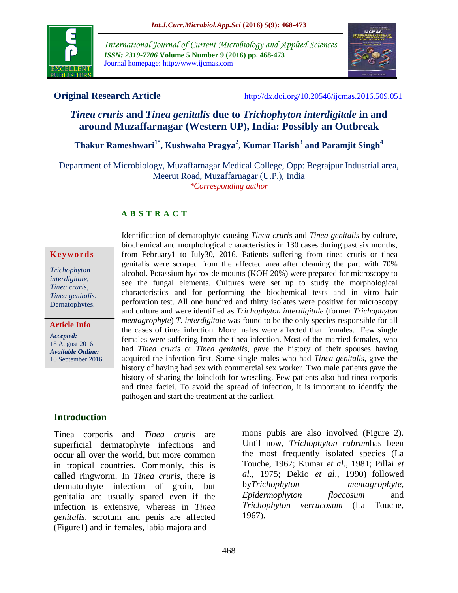

*International Journal of Current Microbiology and Applied Sciences ISSN: 2319-7706* **Volume 5 Number 9 (2016) pp. 468-473** Journal homepage: http://www.ijcmas.com



**Original Research Article** <http://dx.doi.org/10.20546/ijcmas.2016.509.051>

# *Tinea cruris* **and** *Tinea genitalis* **due to** *Trichophyton interdigitale* **in and around Muzaffarnagar (Western UP), India: Possibly an Outbreak**

**Thakur Rameshwari1\* , Kushwaha Pragya<sup>2</sup> , Kumar Harish<sup>3</sup> and Paramjit Singh<sup>4</sup>**

Department of Microbiology, Muzaffarnagar Medical College, Opp: Begrajpur Industrial area, Meerut Road, Muzaffarnagar (U.P.), India *\*Corresponding author*

#### **A B S T R A C T**

#### **K e y w o r d s**

*Trichophyton interdigitale, Tinea cruris, Tinea genitalis*. Dematophytes.

**Article Info**

*Accepted:*  18 August 2016 *Available Online:* 10 September 2016

Identification of dematophyte causing *Tinea cruris* and *Tinea genitalis* by culture, biochemical and morphological characteristics in 130 cases during past six months, from February1 to July30, 2016. Patients suffering from tinea cruris or tinea genitalis were scraped from the affected area after cleaning the part with 70% alcohol. Potassium hydroxide mounts (KOH 20%) were prepared for microscopy to see the fungal elements. Cultures were set up to study the morphological characteristics and for performing the biochemical tests and in vitro hair perforation test. All one hundred and thirty isolates were positive for microscopy and culture and were identified as *Trichophyton interdigitale* (former *Trichophyton mentagrophyte*) *T. interdigitale* was found to be the only species responsible for all the cases of tinea infection. More males were affected than females. Few single females were suffering from the tinea infection. Most of the married females, who had *Tinea cruris* or *Tinea genitalis*, gave the history of their spouses having acquired the infection first. Some single males who had *Tinea genitalis*, gave the history of having had sex with commercial sex worker. Two male patients gave the history of sharing the loincloth for wrestling. Few patients also had tinea corporis and tinea faciei. To avoid the spread of infection, it is important to identify the pathogen and start the treatment at the earliest.

## **Introduction**

Tinea corporis and *Tinea cruris* are superficial dermatophyte infections and occur all over the world, but more common in tropical countries. Commonly, this is called ringworm. In *Tinea cruris*, there is dermatophyte infection of groin, but genitalia are usually spared even if the infection is extensive, whereas in *Tinea genitalis*, scrotum and penis are affected (Figure1) and in females, labia majora and

mons pubis are also involved (Figure 2). Until now, *Trichophyton rubrum*has been the most frequently isolated species (La Touche, 1967; Kumar *et al*., 1981; Pillai *et al*., 1975; Dekio *et al*., 1990) followed by*Trichophyton mentagrophyte, Epidermophyton floccosum* and *Trichophyton verrucosum* (La Touche, 1967).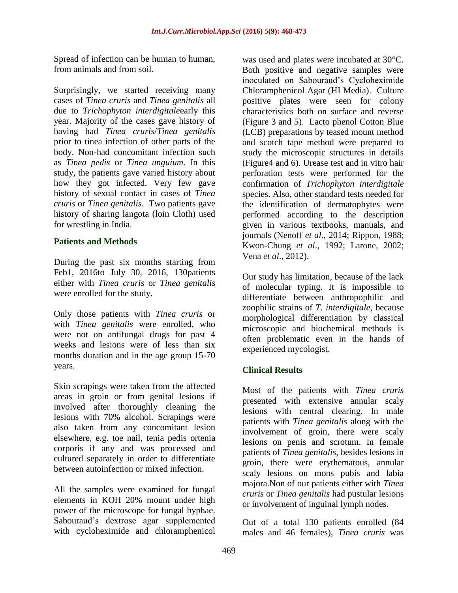Spread of infection can be human to human, from animals and from soil.

Surprisingly, we started receiving many cases of *Tinea cruris* and *Tinea genitalis* all due to *Trichophyton interdigitale*early this year. Majority of the cases gave history of having had *Tinea cruris*/*Tinea genitalis* prior to tinea infection of other parts of the body. Non-had concomitant infection such as *Tinea pedis* or *Tinea unguium*. In this study, the patients gave varied history about how they got infected. Very few gave history of sexual contact in cases of *Tinea cruris* or *Tinea genitalis*. Two patients gave history of sharing langota (loin Cloth) used for wrestling in India.

### **Patients and Methods**

During the past six months starting from Feb1, 2016to July 30, 2016, 130patients either with *Tinea cruris* or *Tinea genitalis* were enrolled for the study.

Only those patients with *Tinea cruris* or with *Tinea genitalis* were enrolled, who were not on antifungal drugs for past 4 weeks and lesions were of less than six months duration and in the age group 15-70 years.

Skin scrapings were taken from the affected areas in groin or from genital lesions if involved after thoroughly cleaning the lesions with 70% alcohol. Scrapings were also taken from any concomitant lesion elsewhere, e.g. toe nail, tenia pedis ortenia corporis if any and was processed and cultured separately in order to differentiate between autoinfection or mixed infection.

All the samples were examined for fungal elements in KOH 20% mount under high power of the microscope for fungal hyphae. Sabouraud's dextrose agar supplemented with cycloheximide and chloramphenicol

was used and plates were incubated at 30°C. Both positive and negative samples were inoculated on Sabouraud's Cycloheximide Chloramphenicol Agar (HI Media). Culture positive plates were seen for colony characteristics both on surface and reverse (Figure 3 and 5). Lacto phenol Cotton Blue (LCB) preparations by teased mount method and scotch tape method were prepared to study the microscopic structures in details (Figure4 and 6). Urease test and in vitro hair perforation tests were performed for the confirmation of *Trichophyton interdigitale* species. Also, other standard tests needed for the identification of dermatophytes were performed according to the description given in various textbooks, manuals, and journals (Nenoff *et al*., 2014; Rippon, 1988; Kwon-Chung *et al*., 1992; Larone, 2002; Vena *et al*., 2012).

Our study has limitation, because of the lack of molecular typing. It is impossible to differentiate between anthropophilic and zoophilic strains of *T. interdigitale,* because morphological differentiation by classical microscopic and biochemical methods is often problematic even in the hands of experienced mycologist.

## **Clinical Results**

Most of the patients with *Tinea cruris* presented with extensive annular scaly lesions with central clearing. In male patients with *Tinea genitalis* along with the involvement of groin, there were scaly lesions on penis and scrotum. In female patients of *Tinea genitalis*, besides lesions in groin, there were erythematous, annular scaly lesions on mons pubis and labia majora.Non of our patients either with *Tinea cruris* or *Tinea genitalis* had pustular lesions or involvement of inguinal lymph nodes.

Out of a total 130 patients enrolled (84 males and 46 females), *Tinea cruris* was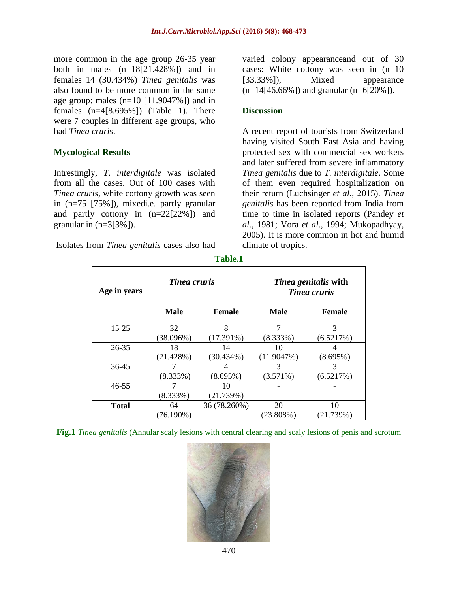more common in the age group 26-35 year both in males  $(n=18[21.428\%)$  and in females 14 (30.434%) *Tinea genitalis* was also found to be more common in the same age group: males  $(n=10$  [11.9047%]) and in females  $(n=4[8.695\%])$  (Table 1). There were 7 couples in different age groups, who had *Tinea cruris*.

### **Mycological Results**

Intrestingly, *T. interdigitale* was isolated from all the cases. Out of 100 cases with *Tinea cruris*, white cottony growth was seen in (n=75 [75%]), mixedi.e. partly granular and partly cottony in (n=22[22%]) and granular in  $(n=3[3\%])$ .

Isolates from *Tinea genitalis* cases also had

varied colony appearanceand out of 30 cases: White cottony was seen in (n=10 [33.33%]), Mixed appearance  $(n=14[46.66\%])$  and granular  $(n=6[20\%])$ .

#### **Discussion**

A recent report of tourists from Switzerland having visited South East Asia and having protected sex with commercial sex workers and later suffered from severe inflammatory *Tinea genitalis* due to *T. interdigitale*. Some of them even required hospitalization on their return (Luchsinger *et al*., 2015). *Tinea genitalis* has been reported from India from time to time in isolated reports (Pandey *et al*., 1981; Vora *et al*., 1994; Mukopadhyay, 2005). It is more common in hot and humid climate of tropics.

| Age in years | Tinea cruris |               | <i>Tinea genitalis</i> with<br><b>Tinea cruris</b> |               |
|--------------|--------------|---------------|----------------------------------------------------|---------------|
|              | <b>Male</b>  | <b>Female</b> | <b>Male</b>                                        | <b>Female</b> |
| 15-25        | 32           | 8             |                                                    | 3             |
|              | (38.096%)    | $(17.391\%)$  | (8.333%)                                           | (6.5217%)     |
| $26 - 35$    | 18           | 14            | 10                                                 |               |
|              | (21.428%)    | $(30.434\%)$  | (11.9047%)                                         | (8.695%)      |
| 36-45        |              |               | 3                                                  |               |
|              | (8.333%)     | (8.695%)      | (3.571%)                                           | (6.5217%)     |
| $46 - 55$    |              | 10            |                                                    |               |
|              | (8.333%)     | (21.739%)     |                                                    |               |
| <b>Total</b> | 64           | 36 (78.260%)  | 20                                                 | 10            |
|              | $(76.190\%)$ |               | $(23.808\%)$                                       | (21.739%)     |

**Table.1**

**Fig.1** *Tinea genitalis* (Annular scaly lesions with central clearing and scaly lesions of penis and scrotum

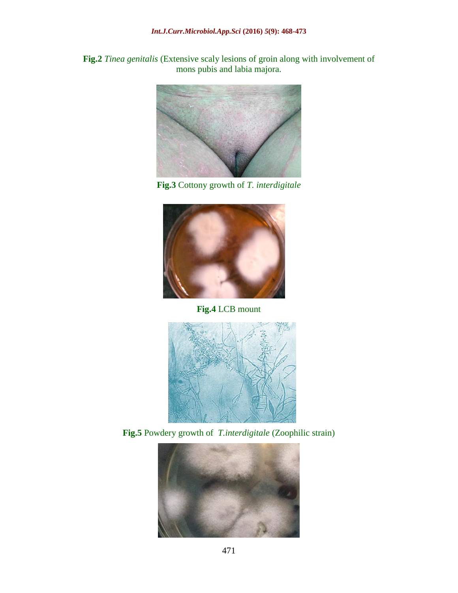**Fig.2** *Tinea genitalis* (Extensive scaly lesions of groin along with involvement of mons pubis and labia majora.



**Fig.3** Cottony growth of *T. interdigitale*



**Fig.4** LCB mount



**Fig.5** Powdery growth of *T.interdigitale* (Zoophilic strain)

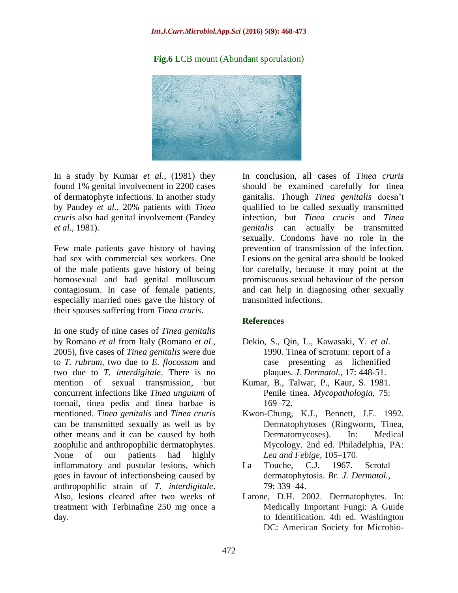#### *Int.J.Curr.Microbiol.App.Sci* **(2016)** *5***(9): 468-473**

#### **Fig.6** LCB mount (Abundant sporulation)



In a study by Kumar *et al.,* (1981) they found 1% genital involvement in 2200 cases of dermatophyte infections. In another study by Pandey *et al.,* 20% patients with *Tinea cruris* also had genital involvement (Pandey *et al*., 1981).

Few male patients gave history of having had sex with commercial sex workers. One of the male patients gave history of being homosexual and had genital molluscum contagiosum. In case of female patients, especially married ones gave the history of their spouses suffering from *Tinea cruris*.

In one study of nine cases of *Tinea genitalis* by Romano *et al* from Italy (Romano *et al*., 2005), five cases of *Tinea genitalis* were due to *T. rubrum,* two due to *E. flocossum* and two due to *T. interdigitale*. There is no mention of sexual transmission, but concurrent infections like *Tinea unguium* of toenail, tinea pedis and tinea barbae is mentioned. *Tinea genitalis* and *Tinea cruris* can be transmitted sexually as well as by other means and it can be caused by both zoophilic and anthropophilic dermatophytes. None of our patients had highly inflammatory and pustular lesions, which goes in favour of infectionsbeing caused by anthropophilic strain of *T. interdigitale*. Also, lesions cleared after two weeks of treatment with Terbinafine 250 mg once a day.

In conclusion, all cases of *Tinea cruris* should be examined carefully for tinea ganitalis. Though *Tinea genitalis* doesn't qualified to be called sexually transmitted infection, but *Tinea cruris* and *Tinea genitalis* can actually be transmitted sexually. Condoms have no role in the prevention of transmission of the infection. Lesions on the genital area should be looked for carefully, because it may point at the promiscuous sexual behaviour of the person and can help in diagnosing other sexually transmitted infections.

#### **References**

- Dekio, S., Qin, L., Kawasaki, Y. *et al*. 1990. Tinea of scrotum: report of a case presenting as lichenified plaques. *J. Dermatol.,* 17: 448-51.
- Kumar, B., Talwar, P., Kaur, S. 1981. Penile tinea. *Mycopathologia*, 75: 169–72.
- Kwon-Chung, K.J., Bennett, J.E. 1992. Dermatophytoses (Ringworm, Tinea, Dermatomycoses). In: Medical Mycology. 2nd ed. Philadelphia, PA: *Lea and Febige,* 105–170.
- La Touche, C.J. 1967. Scrotal dermatophytosis. *Br. J. Dermatol.,* 79: 339–44.
- Larone, D.H. 2002. Dermatophytes. In: Medically Important Fungi: A Guide to Identification. 4th ed. Washington DC: American Society for Microbio-